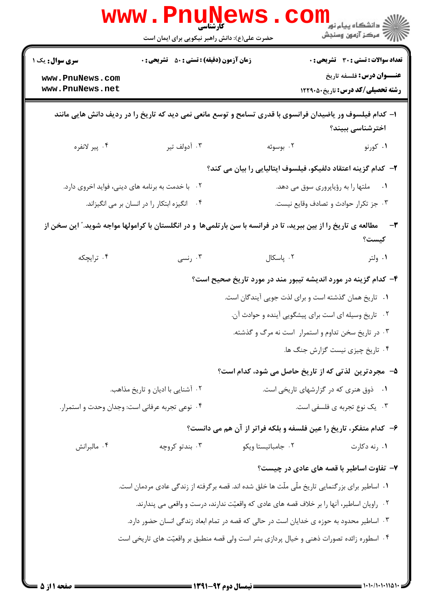| <b>سری سوال :</b> یک ۱                                                                                                    | <b>زمان آزمون (دقیقه) : تستی : 50 ٪ تشریحی : 0</b>                                                       |                                                                                            | <b>تعداد سوالات : تستی : 30 ٪ تشریحی : 0</b> |
|---------------------------------------------------------------------------------------------------------------------------|----------------------------------------------------------------------------------------------------------|--------------------------------------------------------------------------------------------|----------------------------------------------|
| www.PnuNews.com                                                                                                           |                                                                                                          |                                                                                            | <b>عنـــوان درس:</b> فلسفه تاریخ             |
| www.PnuNews.net                                                                                                           |                                                                                                          |                                                                                            | رشته تحصیلی/کد درس: تاریخ ۱۲۲۹۰۵۰            |
|                                                                                                                           | ا– کدام فیلسوف ور یاضیدان فرانسوی با قدری تسامح و توسع مانعی نمی دید که تاریخ را در ردیف دانش هایی مانند |                                                                                            | اخترشناسی ببیند؟                             |
| ۰۴ پیر لانفره                                                                                                             | ۰۳ آدولف تیر                                                                                             | ۰۲ بوسوئه                                                                                  | ۰۱ کورنو                                     |
|                                                                                                                           |                                                                                                          | ۲– کدام گزینه اعتقاد دلفیکو، فیلسوف ایتالیایی را بیان می کند؟                              |                                              |
|                                                                                                                           | ۲. با خدمت به برنامه های دینی، فواید اخروی دارد.                                                         |                                                                                            | ۰۱ ملتها را به رؤیاپروری سوق می دهد.         |
|                                                                                                                           | ۰۴ انگیزه ابتکار را در انسان بر می انگیزاند.                                                             |                                                                                            | ۰۳ جز تکرار حوادث و تصادف وقايع نيست.        |
| مطالعه ی تاریخ را از بین ببرید، تا در فرانسه با سن بارتلمیها ً و در انگلستان با کرامولها مواجه شوید." این سخن از<br>كيست؟ |                                                                                                          |                                                                                            |                                              |
| ۰۴ ترایچکه                                                                                                                | ۰۳ رنسی                                                                                                  | ٠٢ پاسكال                                                                                  | ۰۱ ولتر                                      |
|                                                                                                                           |                                                                                                          | ۴– کدام گزینه در مورد اندیشه تیبور مند در مورد تاریخ صحیح است؟                             |                                              |
|                                                                                                                           |                                                                                                          | ۰۱ تاریخ همان گذشته است و برای لذت جویی آیندگان است.                                       |                                              |
|                                                                                                                           |                                                                                                          | ۰۲ تاریخ وسیله ای است برای پیشگویی آینده و حوادث آن.                                       |                                              |
|                                                                                                                           |                                                                                                          | ۰۳ در تاریخ سخن تداوم و استمرار است نه مرگ و گذشته.                                        |                                              |
|                                                                                                                           |                                                                                                          |                                                                                            | ۰۴ تاریخ چیزی نیست گزارش جنگ ها.             |
|                                                                                                                           |                                                                                                          | ۵– مجردترین لذتی که از تاریخ حاصل می شود، کدام است؟                                        |                                              |
|                                                                                                                           | ۰۲ آشنایی با ادیان و تاریخ مذاهب.                                                                        |                                                                                            | ٠١ ذوق هنري كه در گزارشهاي تاريخي است.       |
|                                                                                                                           | ۰۴ نوعی تجربه عرفانی است: وجدان وحدت و استمرار.                                                          |                                                                                            | ۰۳ یک نوع تجربه ی فلسفی است.                 |
|                                                                                                                           |                                                                                                          | ۶- كدام متفكر، تاريخ را عين فلسفه و بلكه فراتر از آن هم مي دانست؟                          |                                              |
| ۰۴ مالبرانش                                                                                                               | ۰۳ بندتو کروچه                                                                                           | ٠٢ جامباتيستا ويكو                                                                         | ۰۱ رنه دکارت                                 |
|                                                                                                                           |                                                                                                          |                                                                                            | ۷- تفاوت اساطیر با قصه های عادی در چیست؟     |
|                                                                                                                           | ۰۱ اساطیر برای بزرگنمایی تاریخ ملّی ملّت ها خلق شده اند. قصه برگرفته از زندگی عادی مردمان است.           |                                                                                            |                                              |
|                                                                                                                           |                                                                                                          | ۰۲ راویان اساطیر، آنها را بر خلاف قصه های عادی که واقعیّت ندارند، درست و واقعی می پندارند. |                                              |
|                                                                                                                           | ۰۳ اساطیر محدود به حوزه ی خدایان است در حالی که قصه در تمام ابعاد زندگی انسان حضور دارد.                 |                                                                                            |                                              |
|                                                                                                                           |                                                                                                          | ۰۴ اسطوره زائده تصورات ذهنی و خیال پردازی بشر است ولی قصه منطبق بر واقعیّت های تاریخی است  |                                              |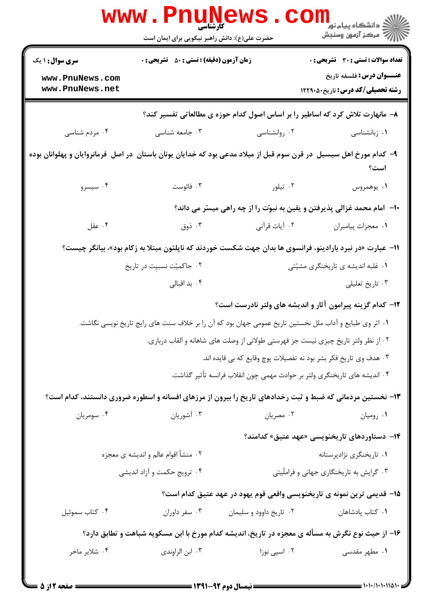|                                                                                                          | <b>www.Pn</b><br><b>ULIV!</b><br>حضرت علی(ع): دانش راهبر نیکویی برای ایمان است                                               |                                                                                                            | دانشگاه پیام نور<br>ا∰ مرکز آزمهن وسنجش                                   |  |  |
|----------------------------------------------------------------------------------------------------------|------------------------------------------------------------------------------------------------------------------------------|------------------------------------------------------------------------------------------------------------|---------------------------------------------------------------------------|--|--|
| <b>سری سوال : ۱ یک</b>                                                                                   | <b>زمان آزمون (دقیقه) : تستی : 50 ٪ تشریحی : 0</b>                                                                           |                                                                                                            | تعداد سوالات : تستي : 30 - تشريحي : 0                                     |  |  |
| www.PnuNews.com<br>www.PnuNews.net                                                                       |                                                                                                                              |                                                                                                            | <b>عنـــوان درس:</b> فلسفه تاریخ<br><b>رشته تحصیلی/کد درس:</b> تاریخ40121 |  |  |
|                                                                                                          | ۸– مانهارت تلاش کرد که اساطیر را بر اساس اصول کدام حوزه ی مطالعاتی تفسیر کند؟                                                |                                                                                                            |                                                                           |  |  |
| ۰۴ مردم شناسی                                                                                            | ۰۳ جامعه شناسی                                                                                                               | ۰۲ روانشناسی                                                                                               | ۰۱ زبانشناسی                                                              |  |  |
|                                                                                                          | ۹– کدام مورخ اهل سیسیل  در قرن سوم قبل از میلاد مدعی بود که خدایان یونان باستان  در اصل  فرمانروایان و پهلوانان بوده<br>است؟ |                                                                                                            |                                                                           |  |  |
| ۰۴ سیسرو                                                                                                 | ۰۳ فائوست                                                                                                                    | ۰۲ تیلور                                                                                                   | ۰۱. يوهمروس                                                               |  |  |
|                                                                                                          |                                                                                                                              | ∙ا− آمام محمد غزالی پذیرفتن و یقین به نبوّت را از چه راهی میسّر می داند؟                                   |                                                                           |  |  |
| ۰۴ عقل                                                                                                   | ۰۳ ذوق                                                                                                                       | ۰۲ آیات قرآنی                                                                                              | ٠١ معجزات پيامبران                                                        |  |  |
| 1۱– عبارت «در نبرد بارادینو، فرانسوی ها بدان جهت شکست خوردند که ناپلئون مبتلا به زکام بود»، بیانگر چیست؟ |                                                                                                                              |                                                                                                            |                                                                           |  |  |
|                                                                                                          | ۰۲ حاکمیّت نسبیِت در تاریخ                                                                                                   |                                                                                                            | ۰۱ غلبه اندیشه ی تاریخنگری مشیّتی                                         |  |  |
|                                                                                                          | ۰۴ بد اقبال <sub>ی</sub>                                                                                                     |                                                                                                            | ۰۳ تاریخ تعلیلی                                                           |  |  |
|                                                                                                          |                                                                                                                              | ۱۲- کدام گزینه پیرامون آثار و اندیشه های ولتر نادرست است؟                                                  |                                                                           |  |  |
|                                                                                                          |                                                                                                                              | ۰۱ اثر وی طبایع و آداب ملل نخستین تاریخ عمومی جهان بود که آن را بر خلاف سنت های رایج تاریخ نویسی نگاشت.    |                                                                           |  |  |
|                                                                                                          |                                                                                                                              | ۰۲ از نظر ولتر تاریخ چیزی نیست جز فهرستی طولانی از وصلت های شاهانه و القاب درباری.                         |                                                                           |  |  |
|                                                                                                          |                                                                                                                              | ۰۳ هدف وي تاريخ فكر بشر بود نه تفصيلات پوچ وقايع كه بي فايده اند.                                          |                                                                           |  |  |
|                                                                                                          |                                                                                                                              | ۰۴ اندیشه های تاریخنگری ولتر بر حوادث مهمی چون انقلاب فرانسه تأثیر گذاشت.                                  |                                                                           |  |  |
|                                                                                                          |                                                                                                                              | ۱۳- نخستین مردمانی که ضبط و ثبت رخدادهای تاریخ را بیرون از مرزهای افسانه و اسطوره ضروری دانستند، کدام است؟ |                                                                           |  |  |
| ۰۴ سومريان                                                                                               | ۰۳ آشوریان                                                                                                                   | ۰۲ مصريان                                                                                                  | ۰۱ رومیان                                                                 |  |  |
|                                                                                                          |                                                                                                                              |                                                                                                            | ۱۴– دستاوردهای تاریخنویسی «عهد عتیق» کدامند؟                              |  |  |
|                                                                                                          | ۰۲ منشأ اقوام عالم و اندیشه ی معجزه                                                                                          |                                                                                                            | ۰۱ تاریخنگری نژادپرستانه                                                  |  |  |
|                                                                                                          | ۰۴ ترويج حكمت و آزاد انديشي                                                                                                  |                                                                                                            | ۰۳ گرایش به تاریخنگاری جهانی و فراملّیتی                                  |  |  |
|                                                                                                          |                                                                                                                              | 1۵– قدیمی ترین نمونه ی تاریخنویسی واقعی قوم یهود در عهد عتیق کدام است؟                                     |                                                                           |  |  |
| ۰۴ کتاب سموئيل                                                                                           | ۰۳ سفر داوران                                                                                                                | ۰۲ تاریخ داوود و سلیمان                                                                                    | ٠١ كتاب پادشاهان                                                          |  |  |
| ۱۶– از حیث نوع نگرش به مسأله ی معجزه در تاریخ، اندیشه کدام مورخ با ابن مسکویه شباهت و تطابق دارد؟        |                                                                                                                              |                                                                                                            |                                                                           |  |  |
| ۰۴ شلایر ماخر                                                                                            | ۰۳ ابن الراوندی                                                                                                              | ۰۲ اسپی نوزا                                                                                               | ۰۱ مطهر مقدسی                                                             |  |  |
|                                                                                                          |                                                                                                                              | $\overline{\phantom{a}}$                                                                                   |                                                                           |  |  |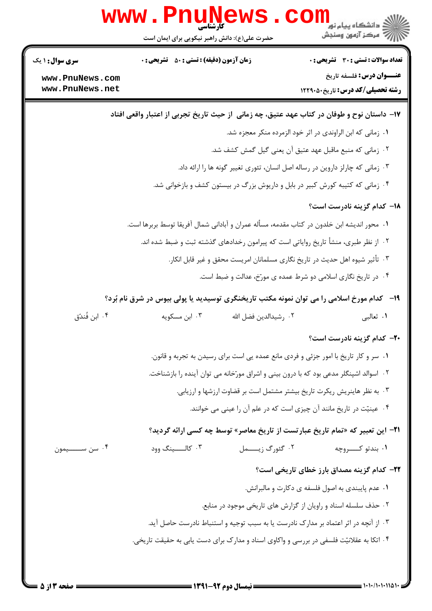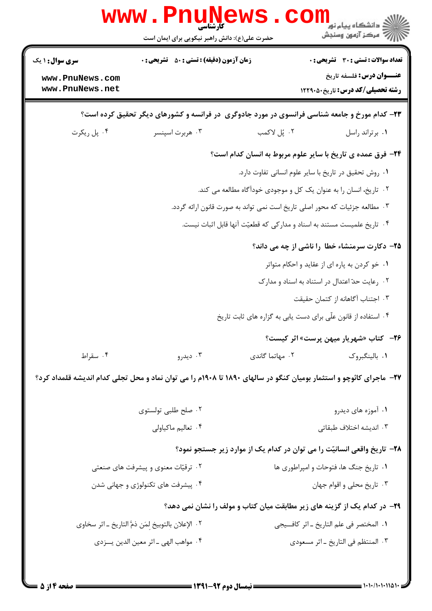| <b>تعداد سوالات : تستی : 30 ٪ تشریحی : 0</b><br><b>زمان آزمون (دقیقه) : تستی : 50 ٪ تشریحی : 0</b><br><b>سری سوال : ۱ یک</b><br><b>عنـــوان درس:</b> فلسفه تاریخ<br>www.PnuNews.com<br>www.PnuNews.net<br><b>رشته تحصیلی/کد درس:</b> تاریخ40121<br>۲۳- کدام مورخ و جامعه شناسی فرانسوی در مورد جادوگری ً در فرانسه و کشورهای دیگر تحقیق کرده است؟<br>۰۴ پل ريکرت<br>۰۲ پُل لاکمب<br>۰۳ هربرت اسپنسر<br>٠١ برتراند راسل<br>۲۴- فرق عمده ی تاریخ با سایر علوم مربوط به انسان کدام است؟<br>٠١. روش تحقيق در تاريخ با ساير علوم انساني تفاوت دارد.<br>۰۲ تاریخ، انسان را به عنوان یک کل و موجودی خودآگاه مطالعه می کند.<br>۰۳ مطالعه جزئیات که محور اصلی تاریخ است نمی تواند به صورت قانون ارائه گردد.<br>۰۴ تاریخ علمیست مستند به اسناد و مدارکی که قطعیّت آنها قابل اثبات نیست.<br>۲۵- دکارت سرمنشاء خطا را ناشی از چه می داند؟<br>۰۱ خو کردن به پاره ای از عقاید و احکام متواتر<br>۰۲ رعایت حدّ اعتدال در استناد به اسناد و مدارک<br>۰۳ اجتناب آگاهانه از کتمان حقیقت<br>۰۴ استفاده از قانون علّی برای دست یابی به گزاره های ثابت تاریخ<br><b>۲۶</b> - کتاب «شهریار میهن پرست» اثر کیست؟<br>۰۲ مهاتما گاندی<br>٠١ بالينگبروک<br>۰۴ سقراط<br>۰۳ دیدرو<br>۲۷- ماجرای کائوچو و استثمار بومیان کنگو در سالهای ۱۸۹۰ تا ۱۹۰۸م را می توان نماد و محل تجلی کدام اندیشه قلمداد کرد؟<br>۰۱ آموزه های دیدرو<br>۰۲ صلح طلبی تولستوی<br>۰۴ تعالیم ماکیاولی<br>۰۳ اندیشه اختلاف طبقاتی<br>۲۸– تاریخ واقعی انسانیّت را می توان در کدام یک از موارد زیر جستجو نمود؟<br>٠١ تاريخ جنگ ها، فتوحات و امپراطوري ها<br>۰۲ ترقیّات معنوی و پیشرفت های صنعتی<br>۰۴ پیشرفت های تکنولوژی و جهانی شدن<br>۰۳ تاریخ محلی و اقوام جهان<br><b>۲۹</b> - در کدام یک از گزینه های زیر مطابقت میان کتاب و مولف را نشان نمی دهد؟<br>٠١ المختصر في علم التاريخ ـ اثر كافــيجي<br>٢. الإعلان بالتوبيخ لِمَن ذمَّ التاريخ ـ اثر سخاوى<br>۰۴ مواهب الهي ـ اثر معين الدين يـــزدي<br>٠٣ المنتظم في التاريخ _اثر مسعودي |  | ا کارشناسی<br>کارشناسی<br>حضرت علی(ع): دانش راهبر نیکویی برای ایمان است |  | ≦ دانشڪاه پيام نور<br>7- مرڪز آزمون وسنڊش |  |
|------------------------------------------------------------------------------------------------------------------------------------------------------------------------------------------------------------------------------------------------------------------------------------------------------------------------------------------------------------------------------------------------------------------------------------------------------------------------------------------------------------------------------------------------------------------------------------------------------------------------------------------------------------------------------------------------------------------------------------------------------------------------------------------------------------------------------------------------------------------------------------------------------------------------------------------------------------------------------------------------------------------------------------------------------------------------------------------------------------------------------------------------------------------------------------------------------------------------------------------------------------------------------------------------------------------------------------------------------------------------------------------------------------------------------------------------------------------------------------------------------------------------------------------------------------------------------------------------------------------------------------------------------------------------------------------------------------------------------------------------------------------------------------------------------------------------------------------------------------------------------|--|-------------------------------------------------------------------------|--|-------------------------------------------|--|
|                                                                                                                                                                                                                                                                                                                                                                                                                                                                                                                                                                                                                                                                                                                                                                                                                                                                                                                                                                                                                                                                                                                                                                                                                                                                                                                                                                                                                                                                                                                                                                                                                                                                                                                                                                                                                                                                              |  |                                                                         |  |                                           |  |
|                                                                                                                                                                                                                                                                                                                                                                                                                                                                                                                                                                                                                                                                                                                                                                                                                                                                                                                                                                                                                                                                                                                                                                                                                                                                                                                                                                                                                                                                                                                                                                                                                                                                                                                                                                                                                                                                              |  |                                                                         |  |                                           |  |
|                                                                                                                                                                                                                                                                                                                                                                                                                                                                                                                                                                                                                                                                                                                                                                                                                                                                                                                                                                                                                                                                                                                                                                                                                                                                                                                                                                                                                                                                                                                                                                                                                                                                                                                                                                                                                                                                              |  |                                                                         |  |                                           |  |
|                                                                                                                                                                                                                                                                                                                                                                                                                                                                                                                                                                                                                                                                                                                                                                                                                                                                                                                                                                                                                                                                                                                                                                                                                                                                                                                                                                                                                                                                                                                                                                                                                                                                                                                                                                                                                                                                              |  |                                                                         |  |                                           |  |
|                                                                                                                                                                                                                                                                                                                                                                                                                                                                                                                                                                                                                                                                                                                                                                                                                                                                                                                                                                                                                                                                                                                                                                                                                                                                                                                                                                                                                                                                                                                                                                                                                                                                                                                                                                                                                                                                              |  |                                                                         |  |                                           |  |
|                                                                                                                                                                                                                                                                                                                                                                                                                                                                                                                                                                                                                                                                                                                                                                                                                                                                                                                                                                                                                                                                                                                                                                                                                                                                                                                                                                                                                                                                                                                                                                                                                                                                                                                                                                                                                                                                              |  |                                                                         |  |                                           |  |
|                                                                                                                                                                                                                                                                                                                                                                                                                                                                                                                                                                                                                                                                                                                                                                                                                                                                                                                                                                                                                                                                                                                                                                                                                                                                                                                                                                                                                                                                                                                                                                                                                                                                                                                                                                                                                                                                              |  |                                                                         |  |                                           |  |
|                                                                                                                                                                                                                                                                                                                                                                                                                                                                                                                                                                                                                                                                                                                                                                                                                                                                                                                                                                                                                                                                                                                                                                                                                                                                                                                                                                                                                                                                                                                                                                                                                                                                                                                                                                                                                                                                              |  |                                                                         |  |                                           |  |
|                                                                                                                                                                                                                                                                                                                                                                                                                                                                                                                                                                                                                                                                                                                                                                                                                                                                                                                                                                                                                                                                                                                                                                                                                                                                                                                                                                                                                                                                                                                                                                                                                                                                                                                                                                                                                                                                              |  |                                                                         |  |                                           |  |
|                                                                                                                                                                                                                                                                                                                                                                                                                                                                                                                                                                                                                                                                                                                                                                                                                                                                                                                                                                                                                                                                                                                                                                                                                                                                                                                                                                                                                                                                                                                                                                                                                                                                                                                                                                                                                                                                              |  |                                                                         |  |                                           |  |
|                                                                                                                                                                                                                                                                                                                                                                                                                                                                                                                                                                                                                                                                                                                                                                                                                                                                                                                                                                                                                                                                                                                                                                                                                                                                                                                                                                                                                                                                                                                                                                                                                                                                                                                                                                                                                                                                              |  |                                                                         |  |                                           |  |
|                                                                                                                                                                                                                                                                                                                                                                                                                                                                                                                                                                                                                                                                                                                                                                                                                                                                                                                                                                                                                                                                                                                                                                                                                                                                                                                                                                                                                                                                                                                                                                                                                                                                                                                                                                                                                                                                              |  |                                                                         |  |                                           |  |
|                                                                                                                                                                                                                                                                                                                                                                                                                                                                                                                                                                                                                                                                                                                                                                                                                                                                                                                                                                                                                                                                                                                                                                                                                                                                                                                                                                                                                                                                                                                                                                                                                                                                                                                                                                                                                                                                              |  |                                                                         |  |                                           |  |
|                                                                                                                                                                                                                                                                                                                                                                                                                                                                                                                                                                                                                                                                                                                                                                                                                                                                                                                                                                                                                                                                                                                                                                                                                                                                                                                                                                                                                                                                                                                                                                                                                                                                                                                                                                                                                                                                              |  |                                                                         |  |                                           |  |
|                                                                                                                                                                                                                                                                                                                                                                                                                                                                                                                                                                                                                                                                                                                                                                                                                                                                                                                                                                                                                                                                                                                                                                                                                                                                                                                                                                                                                                                                                                                                                                                                                                                                                                                                                                                                                                                                              |  |                                                                         |  |                                           |  |
|                                                                                                                                                                                                                                                                                                                                                                                                                                                                                                                                                                                                                                                                                                                                                                                                                                                                                                                                                                                                                                                                                                                                                                                                                                                                                                                                                                                                                                                                                                                                                                                                                                                                                                                                                                                                                                                                              |  |                                                                         |  |                                           |  |
|                                                                                                                                                                                                                                                                                                                                                                                                                                                                                                                                                                                                                                                                                                                                                                                                                                                                                                                                                                                                                                                                                                                                                                                                                                                                                                                                                                                                                                                                                                                                                                                                                                                                                                                                                                                                                                                                              |  |                                                                         |  |                                           |  |
|                                                                                                                                                                                                                                                                                                                                                                                                                                                                                                                                                                                                                                                                                                                                                                                                                                                                                                                                                                                                                                                                                                                                                                                                                                                                                                                                                                                                                                                                                                                                                                                                                                                                                                                                                                                                                                                                              |  |                                                                         |  |                                           |  |
|                                                                                                                                                                                                                                                                                                                                                                                                                                                                                                                                                                                                                                                                                                                                                                                                                                                                                                                                                                                                                                                                                                                                                                                                                                                                                                                                                                                                                                                                                                                                                                                                                                                                                                                                                                                                                                                                              |  |                                                                         |  |                                           |  |
|                                                                                                                                                                                                                                                                                                                                                                                                                                                                                                                                                                                                                                                                                                                                                                                                                                                                                                                                                                                                                                                                                                                                                                                                                                                                                                                                                                                                                                                                                                                                                                                                                                                                                                                                                                                                                                                                              |  |                                                                         |  |                                           |  |
|                                                                                                                                                                                                                                                                                                                                                                                                                                                                                                                                                                                                                                                                                                                                                                                                                                                                                                                                                                                                                                                                                                                                                                                                                                                                                                                                                                                                                                                                                                                                                                                                                                                                                                                                                                                                                                                                              |  |                                                                         |  |                                           |  |
|                                                                                                                                                                                                                                                                                                                                                                                                                                                                                                                                                                                                                                                                                                                                                                                                                                                                                                                                                                                                                                                                                                                                                                                                                                                                                                                                                                                                                                                                                                                                                                                                                                                                                                                                                                                                                                                                              |  |                                                                         |  |                                           |  |
|                                                                                                                                                                                                                                                                                                                                                                                                                                                                                                                                                                                                                                                                                                                                                                                                                                                                                                                                                                                                                                                                                                                                                                                                                                                                                                                                                                                                                                                                                                                                                                                                                                                                                                                                                                                                                                                                              |  |                                                                         |  |                                           |  |
|                                                                                                                                                                                                                                                                                                                                                                                                                                                                                                                                                                                                                                                                                                                                                                                                                                                                                                                                                                                                                                                                                                                                                                                                                                                                                                                                                                                                                                                                                                                                                                                                                                                                                                                                                                                                                                                                              |  |                                                                         |  |                                           |  |
|                                                                                                                                                                                                                                                                                                                                                                                                                                                                                                                                                                                                                                                                                                                                                                                                                                                                                                                                                                                                                                                                                                                                                                                                                                                                                                                                                                                                                                                                                                                                                                                                                                                                                                                                                                                                                                                                              |  |                                                                         |  |                                           |  |

----